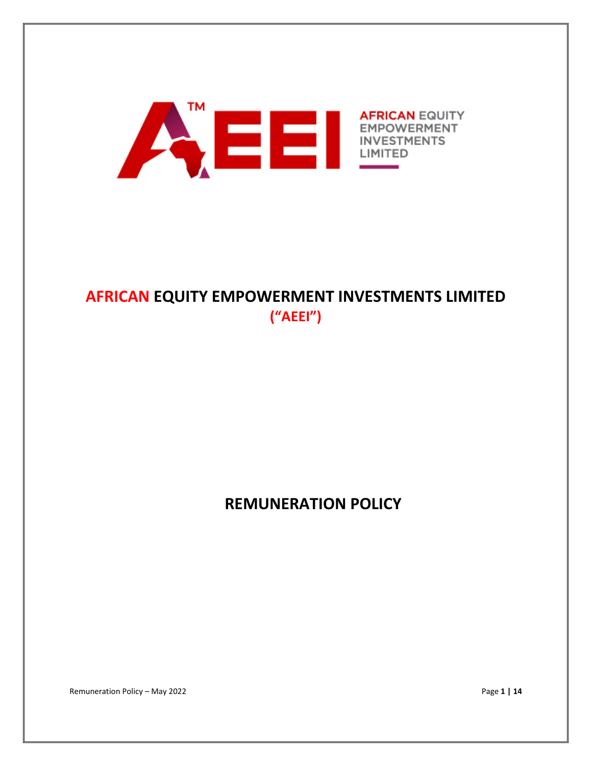

# **AFRICAN EQUITY EMPOWERMENT INVESTMENTS LIMITED ("AEEI")**

**REMUNERATION POLICY**

Remuneration Policy – May 2022 Page **1 | 14**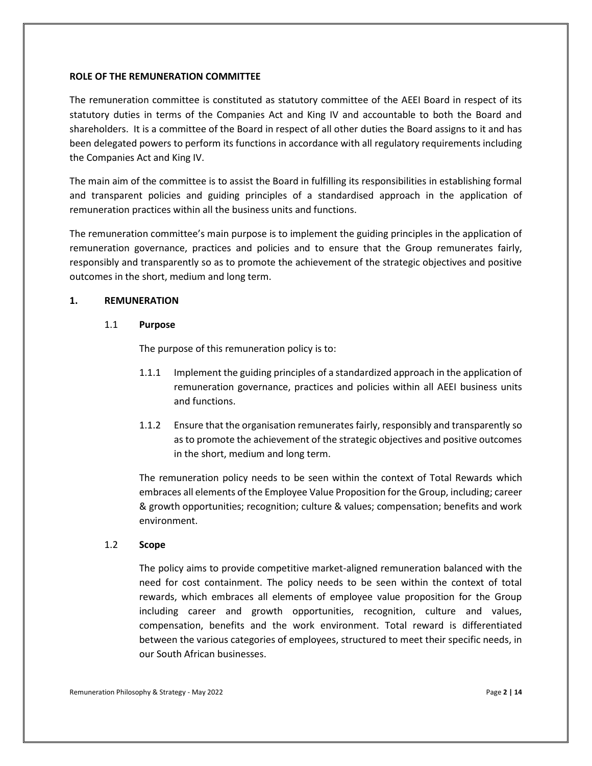#### **ROLE OF THE REMUNERATION COMMITTEE**

The remuneration committee is constituted as statutory committee of the AEEI Board in respect of its statutory duties in terms of the Companies Act and King IV and accountable to both the Board and shareholders. It is a committee of the Board in respect of all other duties the Board assigns to it and has been delegated powers to perform its functions in accordance with all regulatory requirements including the Companies Act and King IV.

The main aim of the committee is to assist the Board in fulfilling its responsibilities in establishing formal and transparent policies and guiding principles of a standardised approach in the application of remuneration practices within all the business units and functions.

The remuneration committee's main purpose is to implement the guiding principles in the application of remuneration governance, practices and policies and to ensure that the Group remunerates fairly, responsibly and transparently so as to promote the achievement of the strategic objectives and positive outcomes in the short, medium and long term.

# **1. REMUNERATION**

# 1.1 **Purpose**

The purpose of this remuneration policy is to:

- 1.1.1 Implement the guiding principles of a standardized approach in the application of remuneration governance, practices and policies within all AEEI business units and functions.
- 1.1.2 Ensure that the organisation remunerates fairly, responsibly and transparently so as to promote the achievement of the strategic objectives and positive outcomes in the short, medium and long term.

The remuneration policy needs to be seen within the context of Total Rewards which embraces all elements of the Employee Value Proposition for the Group, including; career & growth opportunities; recognition; culture & values; compensation; benefits and work environment.

# 1.2 **Scope**

The policy aims to provide competitive market-aligned remuneration balanced with the need for cost containment. The policy needs to be seen within the context of total rewards, which embraces all elements of employee value proposition for the Group including career and growth opportunities, recognition, culture and values, compensation, benefits and the work environment. Total reward is differentiated between the various categories of employees, structured to meet their specific needs, in our South African businesses.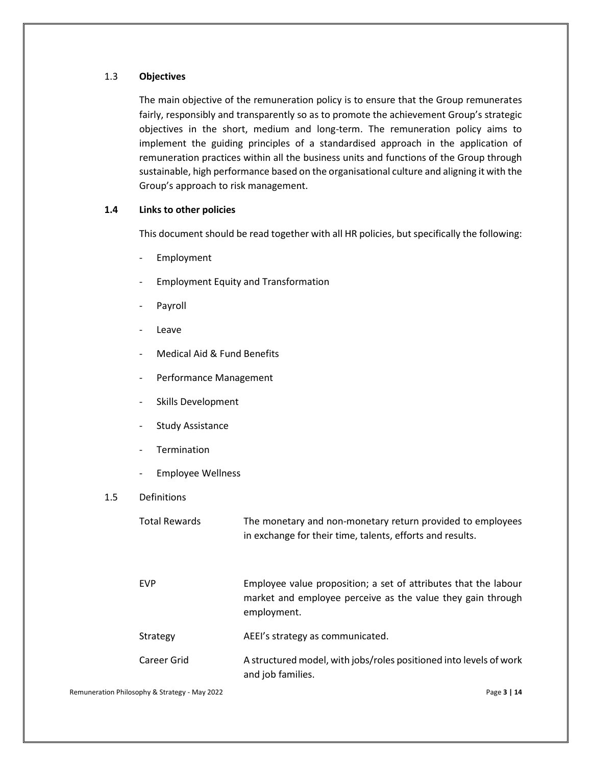## 1.3 **Objectives**

The main objective of the remuneration policy is to ensure that the Group remunerates fairly, responsibly and transparently so as to promote the achievement Group's strategic objectives in the short, medium and long-term. The remuneration policy aims to implement the guiding principles of a standardised approach in the application of remuneration practices within all the business units and functions of the Group through sustainable, high performance based on the organisational culture and aligning it with the Group's approach to risk management.

## **1.4 Links to other policies**

This document should be read together with all HR policies, but specifically the following:

- Employment
- Employment Equity and Transformation
- Payroll
- **Leave**
- Medical Aid & Fund Benefits
- Performance Management
- Skills Development
- Study Assistance
- **Termination**
- Employee Wellness

# 1.5 Definitions

| <b>Total Rewards</b> | The monetary and non-monetary return provided to employees<br>in exchange for their time, talents, efforts and results.                       |
|----------------------|-----------------------------------------------------------------------------------------------------------------------------------------------|
| <b>EVP</b>           | Employee value proposition; a set of attributes that the labour<br>market and employee perceive as the value they gain through<br>employment. |
| Strategy             | AEEI's strategy as communicated.                                                                                                              |
| Career Grid          | A structured model, with jobs/roles positioned into levels of work<br>and job families.                                                       |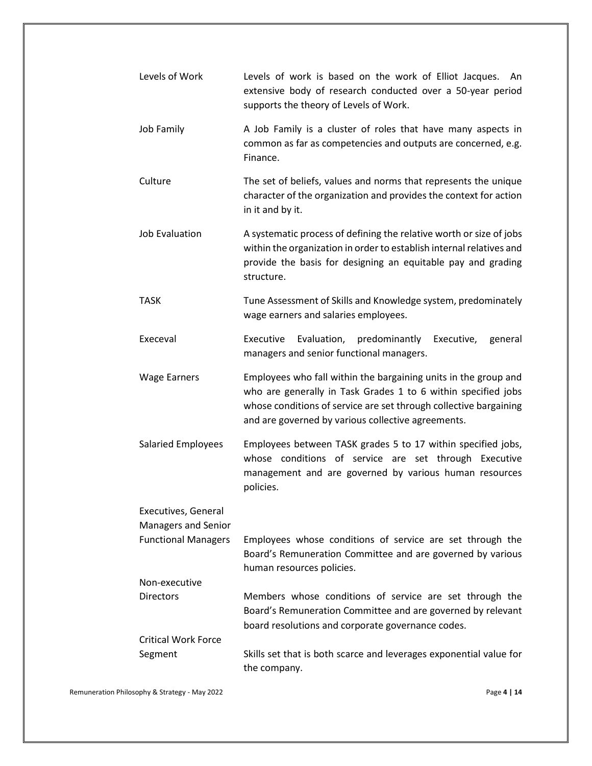| Levels of Work                                    | Levels of work is based on the work of Elliot Jacques.<br>An.<br>extensive body of research conducted over a 50-year period<br>supports the theory of Levels of Work.                                                                                       |
|---------------------------------------------------|-------------------------------------------------------------------------------------------------------------------------------------------------------------------------------------------------------------------------------------------------------------|
| Job Family                                        | A Job Family is a cluster of roles that have many aspects in<br>common as far as competencies and outputs are concerned, e.g.<br>Finance.                                                                                                                   |
| Culture                                           | The set of beliefs, values and norms that represents the unique<br>character of the organization and provides the context for action<br>in it and by it.                                                                                                    |
| <b>Job Evaluation</b>                             | A systematic process of defining the relative worth or size of jobs<br>within the organization in order to establish internal relatives and<br>provide the basis for designing an equitable pay and grading<br>structure.                                   |
| TASK                                              | Tune Assessment of Skills and Knowledge system, predominately<br>wage earners and salaries employees.                                                                                                                                                       |
| Execeval                                          | Evaluation, predominantly Executive,<br>Executive<br>general<br>managers and senior functional managers.                                                                                                                                                    |
| <b>Wage Earners</b>                               | Employees who fall within the bargaining units in the group and<br>who are generally in Task Grades 1 to 6 within specified jobs<br>whose conditions of service are set through collective bargaining<br>and are governed by various collective agreements. |
| <b>Salaried Employees</b>                         | Employees between TASK grades 5 to 17 within specified jobs,<br>whose conditions of service are set through Executive<br>management and are governed by various human resources<br>policies.                                                                |
| Executives, General<br><b>Managers and Senior</b> |                                                                                                                                                                                                                                                             |
| <b>Functional Managers</b>                        | Employees whose conditions of service are set through the<br>Board's Remuneration Committee and are governed by various<br>human resources policies.                                                                                                        |
| Non-executive                                     |                                                                                                                                                                                                                                                             |
| <b>Directors</b>                                  | Members whose conditions of service are set through the<br>Board's Remuneration Committee and are governed by relevant<br>board resolutions and corporate governance codes.                                                                                 |
| <b>Critical Work Force</b>                        |                                                                                                                                                                                                                                                             |
| Segment                                           | Skills set that is both scarce and leverages exponential value for<br>the company.                                                                                                                                                                          |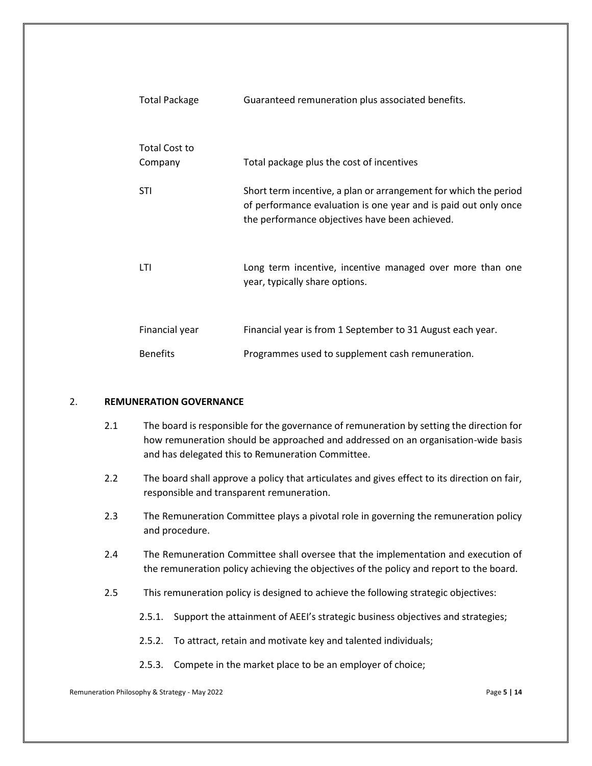| <b>Total Package</b>            | Guaranteed remuneration plus associated benefits.                                                                                                                                     |
|---------------------------------|---------------------------------------------------------------------------------------------------------------------------------------------------------------------------------------|
| <b>Total Cost to</b><br>Company | Total package plus the cost of incentives                                                                                                                                             |
|                                 |                                                                                                                                                                                       |
| <b>STI</b>                      | Short term incentive, a plan or arrangement for which the period<br>of performance evaluation is one year and is paid out only once<br>the performance objectives have been achieved. |
| LTI                             | Long term incentive, incentive managed over more than one<br>year, typically share options.                                                                                           |
| Financial year                  | Financial year is from 1 September to 31 August each year.                                                                                                                            |
| <b>Benefits</b>                 | Programmes used to supplement cash remuneration.                                                                                                                                      |

#### 2. **REMUNERATION GOVERNANCE**

- 2.1 The board is responsible for the governance of remuneration by setting the direction for how remuneration should be approached and addressed on an organisation-wide basis and has delegated this to Remuneration Committee.
- 2.2 The board shall approve a policy that articulates and gives effect to its direction on fair, responsible and transparent remuneration.
- 2.3 The Remuneration Committee plays a pivotal role in governing the remuneration policy and procedure.
- 2.4 The Remuneration Committee shall oversee that the implementation and execution of the remuneration policy achieving the objectives of the policy and report to the board.
- 2.5 This remuneration policy is designed to achieve the following strategic objectives:
	- 2.5.1. Support the attainment of AEEI's strategic business objectives and strategies;
	- 2.5.2. To attract, retain and motivate key and talented individuals;
	- 2.5.3. Compete in the market place to be an employer of choice;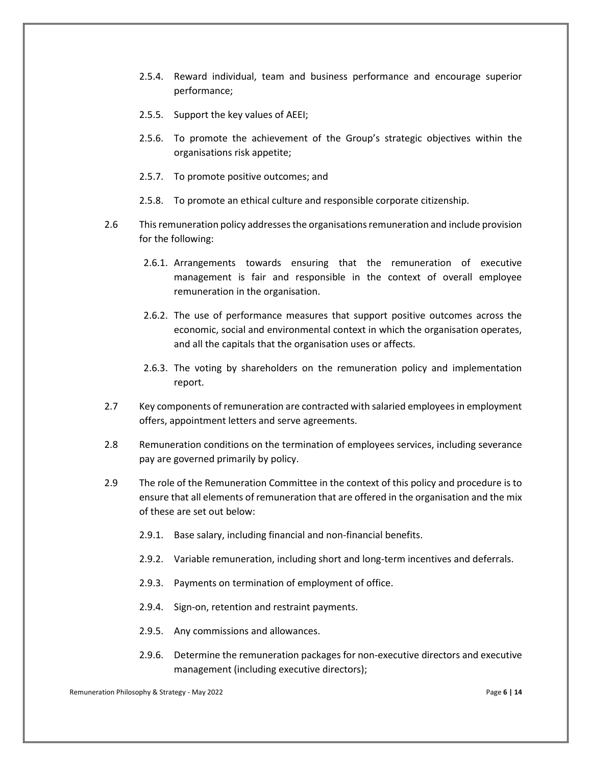- 2.5.4. Reward individual, team and business performance and encourage superior performance;
- 2.5.5. Support the key values of AEEI;
- 2.5.6. To promote the achievement of the Group's strategic objectives within the organisations risk appetite;
- 2.5.7. To promote positive outcomes; and
- 2.5.8. To promote an ethical culture and responsible corporate citizenship.
- 2.6 This remuneration policy addresses the organisations remuneration and include provision for the following:
	- 2.6.1. Arrangements towards ensuring that the remuneration of executive management is fair and responsible in the context of overall employee remuneration in the organisation.
	- 2.6.2. The use of performance measures that support positive outcomes across the economic, social and environmental context in which the organisation operates, and all the capitals that the organisation uses or affects.
	- 2.6.3. The voting by shareholders on the remuneration policy and implementation report.
- 2.7 Key components of remuneration are contracted with salaried employees in employment offers, appointment letters and serve agreements.
- 2.8 Remuneration conditions on the termination of employees services, including severance pay are governed primarily by policy.
- 2.9 The role of the Remuneration Committee in the context of this policy and procedure is to ensure that all elements of remuneration that are offered in the organisation and the mix of these are set out below:
	- 2.9.1. Base salary, including financial and non-financial benefits.
	- 2.9.2. Variable remuneration, including short and long-term incentives and deferrals.
	- 2.9.3. Payments on termination of employment of office.
	- 2.9.4. Sign-on, retention and restraint payments.
	- 2.9.5. Any commissions and allowances.
	- 2.9.6. Determine the remuneration packages for non-executive directors and executive management (including executive directors);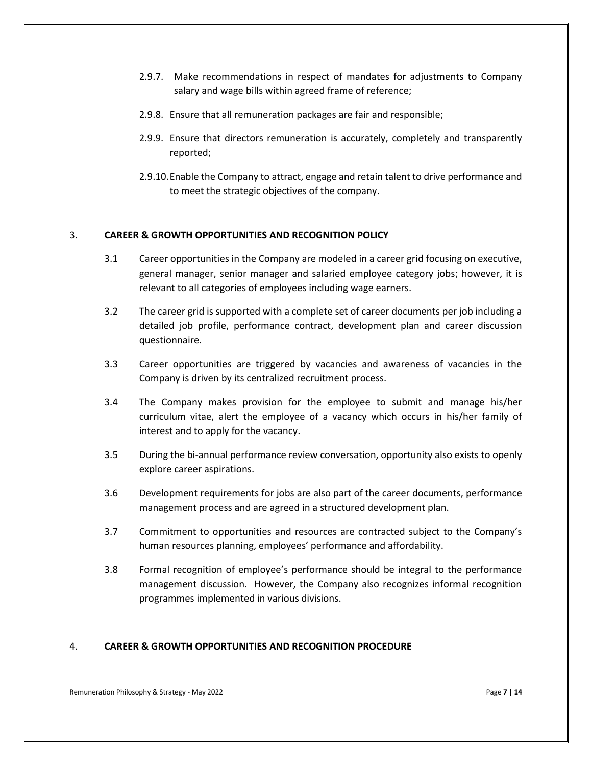- 2.9.7. Make recommendations in respect of mandates for adjustments to Company salary and wage bills within agreed frame of reference;
- 2.9.8. Ensure that all remuneration packages are fair and responsible;
- 2.9.9. Ensure that directors remuneration is accurately, completely and transparently reported;
- 2.9.10.Enable the Company to attract, engage and retain talent to drive performance and to meet the strategic objectives of the company.

## 3. **CAREER & GROWTH OPPORTUNITIES AND RECOGNITION POLICY**

- 3.1 Career opportunities in the Company are modeled in a career grid focusing on executive, general manager, senior manager and salaried employee category jobs; however, it is relevant to all categories of employees including wage earners.
- 3.2 The career grid is supported with a complete set of career documents per job including a detailed job profile, performance contract, development plan and career discussion questionnaire.
- 3.3 Career opportunities are triggered by vacancies and awareness of vacancies in the Company is driven by its centralized recruitment process.
- 3.4 The Company makes provision for the employee to submit and manage his/her curriculum vitae, alert the employee of a vacancy which occurs in his/her family of interest and to apply for the vacancy.
- 3.5 During the bi-annual performance review conversation, opportunity also exists to openly explore career aspirations.
- 3.6 Development requirements for jobs are also part of the career documents, performance management process and are agreed in a structured development plan.
- 3.7 Commitment to opportunities and resources are contracted subject to the Company's human resources planning, employees' performance and affordability.
- 3.8 Formal recognition of employee's performance should be integral to the performance management discussion. However, the Company also recognizes informal recognition programmes implemented in various divisions.

#### 4. **CAREER & GROWTH OPPORTUNITIES AND RECOGNITION PROCEDURE**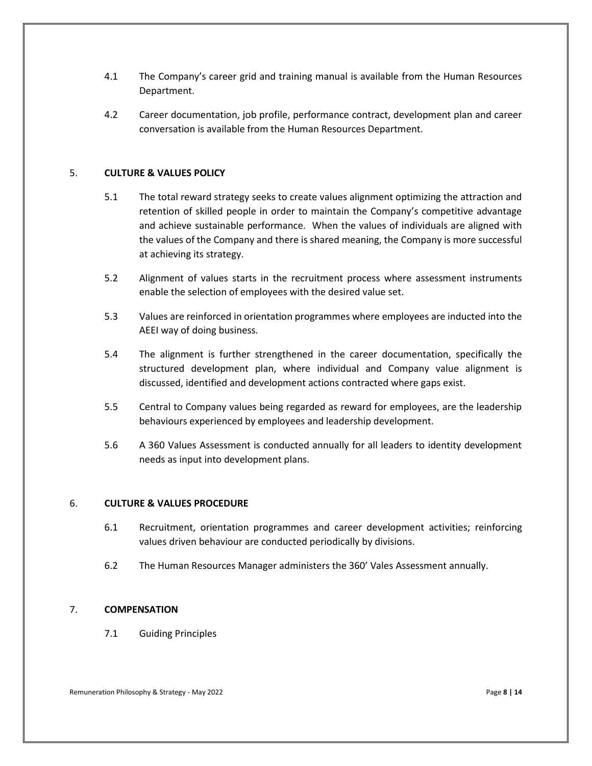- 4.1 The Company's career grid and training manual is available from the Human Resources Department.
- 4.2 Career documentation, job profile, performance contract, development plan and career conversation is available from the Human Resources Department.

# 5. **CULTURE & VALUES POLICY**

- 5.1 The total reward strategy seeks to create values alignment optimizing the attraction and retention of skilled people in order to maintain the Company's competitive advantage and achieve sustainable performance. When the values of individuals are aligned with the values of the Company and there is shared meaning, the Company is more successful at achieving its strategy.
- 5.2 Alignment of values starts in the recruitment process where assessment instruments enable the selection of employees with the desired value set.
- 5.3 Values are reinforced in orientation programmes where employees are inducted into the AEEI way of doing business.
- 5.4 The alignment is further strengthened in the career documentation, specifically the structured development plan, where individual and Company value alignment is discussed, identified and development actions contracted where gaps exist.
- 5.5 Central to Company values being regarded as reward for employees, are the leadership behaviours experienced by employees and leadership development.
- 5.6 A 360 Values Assessment is conducted annually for all leaders to identity development needs as input into development plans.

# 6. **CULTURE & VALUES PROCEDURE**

- 6.1 Recruitment, orientation programmes and career development activities; reinforcing values driven behaviour are conducted periodically by divisions.
- 6.2 The Human Resources Manager administers the 360' Vales Assessment annually.

# 7. **COMPENSATION**

7.1 Guiding Principles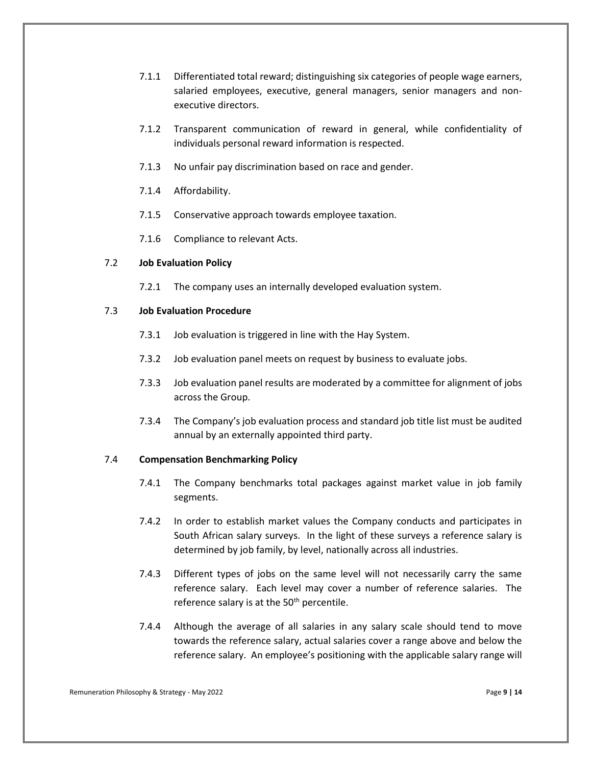- 7.1.1 Differentiated total reward; distinguishing six categories of people wage earners, salaried employees, executive, general managers, senior managers and nonexecutive directors.
- 7.1.2 Transparent communication of reward in general, while confidentiality of individuals personal reward information is respected.
- 7.1.3 No unfair pay discrimination based on race and gender.
- 7.1.4 Affordability.
- 7.1.5 Conservative approach towards employee taxation.
- 7.1.6 Compliance to relevant Acts.

## 7.2 **Job Evaluation Policy**

7.2.1 The company uses an internally developed evaluation system.

## 7.3 **Job Evaluation Procedure**

- 7.3.1 Job evaluation is triggered in line with the Hay System.
- 7.3.2 Job evaluation panel meets on request by business to evaluate jobs.
- 7.3.3 Job evaluation panel results are moderated by a committee for alignment of jobs across the Group.
- 7.3.4 The Company's job evaluation process and standard job title list must be audited annual by an externally appointed third party.

#### 7.4 **Compensation Benchmarking Policy**

- 7.4.1 The Company benchmarks total packages against market value in job family segments.
- 7.4.2 In order to establish market values the Company conducts and participates in South African salary surveys. In the light of these surveys a reference salary is determined by job family, by level, nationally across all industries.
- 7.4.3 Different types of jobs on the same level will not necessarily carry the same reference salary. Each level may cover a number of reference salaries. The reference salary is at the  $50<sup>th</sup>$  percentile.
- 7.4.4 Although the average of all salaries in any salary scale should tend to move towards the reference salary, actual salaries cover a range above and below the reference salary. An employee's positioning with the applicable salary range will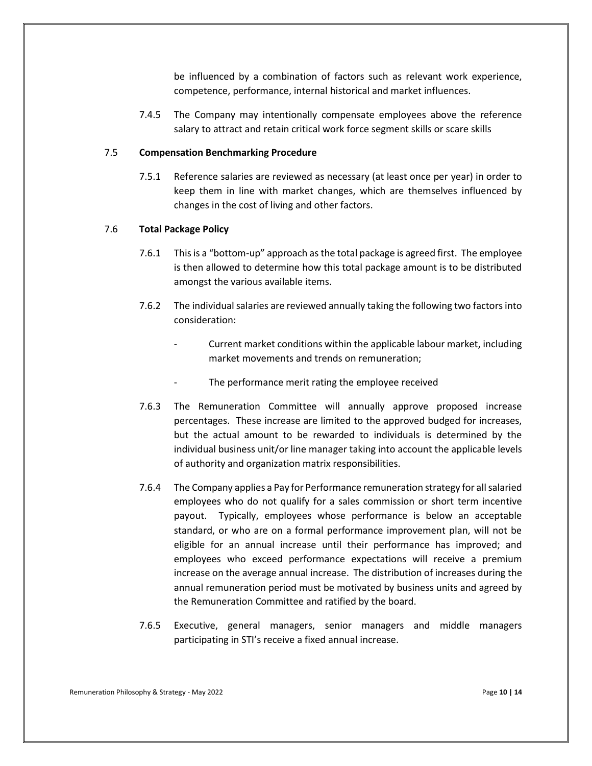be influenced by a combination of factors such as relevant work experience, competence, performance, internal historical and market influences.

7.4.5 The Company may intentionally compensate employees above the reference salary to attract and retain critical work force segment skills or scare skills

#### 7.5 **Compensation Benchmarking Procedure**

7.5.1 Reference salaries are reviewed as necessary (at least once per year) in order to keep them in line with market changes, which are themselves influenced by changes in the cost of living and other factors.

#### 7.6 **Total Package Policy**

- 7.6.1 This is a "bottom-up" approach as the total package is agreed first. The employee is then allowed to determine how this total package amount is to be distributed amongst the various available items.
- 7.6.2 The individual salaries are reviewed annually taking the following two factors into consideration:
	- Current market conditions within the applicable labour market, including market movements and trends on remuneration;
	- The performance merit rating the employee received
- 7.6.3 The Remuneration Committee will annually approve proposed increase percentages. These increase are limited to the approved budged for increases, but the actual amount to be rewarded to individuals is determined by the individual business unit/or line manager taking into account the applicable levels of authority and organization matrix responsibilities.
- 7.6.4 The Company applies a Pay for Performance remuneration strategy for all salaried employees who do not qualify for a sales commission or short term incentive payout. Typically, employees whose performance is below an acceptable standard, or who are on a formal performance improvement plan, will not be eligible for an annual increase until their performance has improved; and employees who exceed performance expectations will receive a premium increase on the average annual increase. The distribution of increases during the annual remuneration period must be motivated by business units and agreed by the Remuneration Committee and ratified by the board.
- 7.6.5 Executive, general managers, senior managers and middle managers participating in STI's receive a fixed annual increase.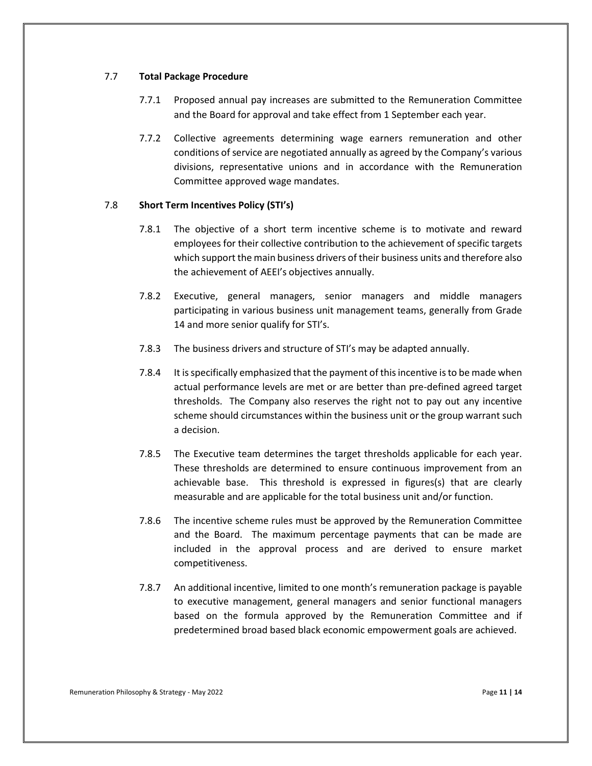#### 7.7 **Total Package Procedure**

- 7.7.1 Proposed annual pay increases are submitted to the Remuneration Committee and the Board for approval and take effect from 1 September each year.
- 7.7.2 Collective agreements determining wage earners remuneration and other conditions of service are negotiated annually as agreed by the Company's various divisions, representative unions and in accordance with the Remuneration Committee approved wage mandates.

# 7.8 **Short Term Incentives Policy (STI's)**

- 7.8.1 The objective of a short term incentive scheme is to motivate and reward employees for their collective contribution to the achievement of specific targets which support the main business drivers of their business units and therefore also the achievement of AEEI's objectives annually.
- 7.8.2 Executive, general managers, senior managers and middle managers participating in various business unit management teams, generally from Grade 14 and more senior qualify for STI's.
- 7.8.3 The business drivers and structure of STI's may be adapted annually.
- 7.8.4 It is specifically emphasized that the payment of this incentive is to be made when actual performance levels are met or are better than pre-defined agreed target thresholds. The Company also reserves the right not to pay out any incentive scheme should circumstances within the business unit or the group warrant such a decision.
- 7.8.5 The Executive team determines the target thresholds applicable for each year. These thresholds are determined to ensure continuous improvement from an achievable base. This threshold is expressed in figures(s) that are clearly measurable and are applicable for the total business unit and/or function.
- 7.8.6 The incentive scheme rules must be approved by the Remuneration Committee and the Board. The maximum percentage payments that can be made are included in the approval process and are derived to ensure market competitiveness.
- 7.8.7 An additional incentive, limited to one month's remuneration package is payable to executive management, general managers and senior functional managers based on the formula approved by the Remuneration Committee and if predetermined broad based black economic empowerment goals are achieved.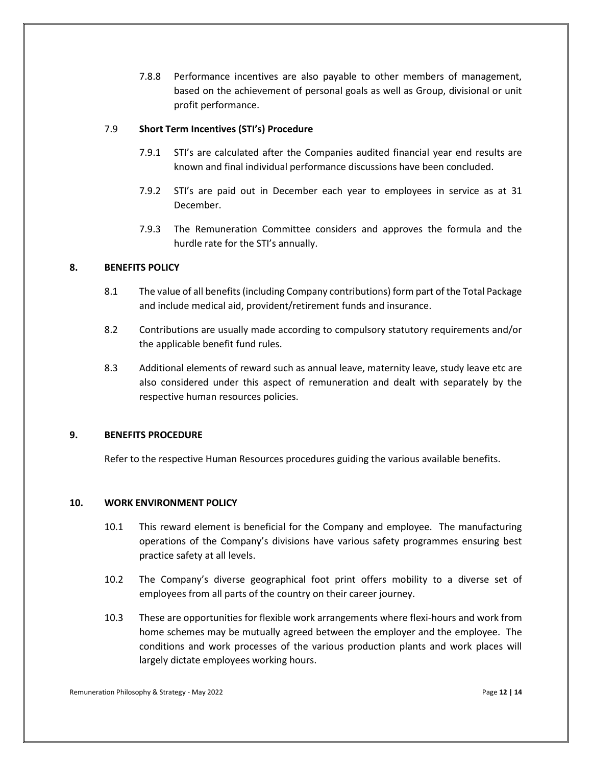7.8.8 Performance incentives are also payable to other members of management, based on the achievement of personal goals as well as Group, divisional or unit profit performance.

## 7.9 **Short Term Incentives (STI's) Procedure**

- 7.9.1 STI's are calculated after the Companies audited financial year end results are known and final individual performance discussions have been concluded.
- 7.9.2 STI's are paid out in December each year to employees in service as at 31 December.
- 7.9.3 The Remuneration Committee considers and approves the formula and the hurdle rate for the STI's annually.

# **8. BENEFITS POLICY**

- 8.1 The value of all benefits (including Company contributions) form part of the Total Package and include medical aid, provident/retirement funds and insurance.
- 8.2 Contributions are usually made according to compulsory statutory requirements and/or the applicable benefit fund rules.
- 8.3 Additional elements of reward such as annual leave, maternity leave, study leave etc are also considered under this aspect of remuneration and dealt with separately by the respective human resources policies.

#### **9. BENEFITS PROCEDURE**

Refer to the respective Human Resources procedures guiding the various available benefits.

# **10. WORK ENVIRONMENT POLICY**

- 10.1 This reward element is beneficial for the Company and employee. The manufacturing operations of the Company's divisions have various safety programmes ensuring best practice safety at all levels.
- 10.2 The Company's diverse geographical foot print offers mobility to a diverse set of employees from all parts of the country on their career journey.
- 10.3 These are opportunities for flexible work arrangements where flexi-hours and work from home schemes may be mutually agreed between the employer and the employee. The conditions and work processes of the various production plants and work places will largely dictate employees working hours.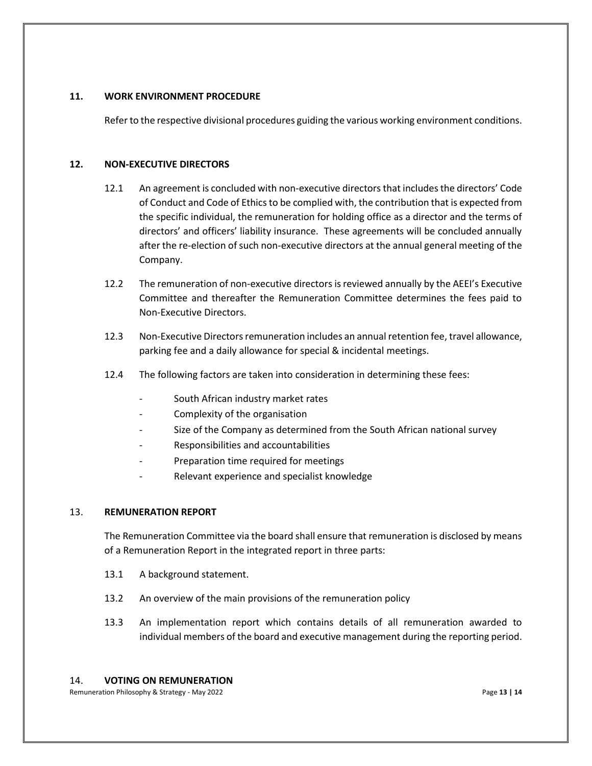# **11. WORK ENVIRONMENT PROCEDURE**

Refer to the respective divisional procedures guiding the various working environment conditions.

## **12. NON-EXECUTIVE DIRECTORS**

- 12.1 An agreement is concluded with non-executive directors that includes the directors' Code of Conduct and Code of Ethics to be complied with, the contribution that is expected from the specific individual, the remuneration for holding office as a director and the terms of directors' and officers' liability insurance. These agreements will be concluded annually after the re-election of such non-executive directors at the annual general meeting of the Company.
- 12.2 The remuneration of non-executive directors is reviewed annually by the AEEI's Executive Committee and thereafter the Remuneration Committee determines the fees paid to Non-Executive Directors.
- 12.3 Non-Executive Directors remuneration includes an annual retention fee, travel allowance, parking fee and a daily allowance for special & incidental meetings.
- 12.4 The following factors are taken into consideration in determining these fees:
	- South African industry market rates
	- Complexity of the organisation
	- Size of the Company as determined from the South African national survey
	- Responsibilities and accountabilities
	- Preparation time required for meetings
	- Relevant experience and specialist knowledge

# 13. **REMUNERATION REPORT**

The Remuneration Committee via the board shall ensure that remuneration is disclosed by means of a Remuneration Report in the integrated report in three parts:

- 13.1 A background statement.
- 13.2 An overview of the main provisions of the remuneration policy
- 13.3 An implementation report which contains details of all remuneration awarded to individual members of the board and executive management during the reporting period.

# 14. **VOTING ON REMUNERATION**

Remuneration Philosophy & Strategy - May 2022 **Page 13** | 14